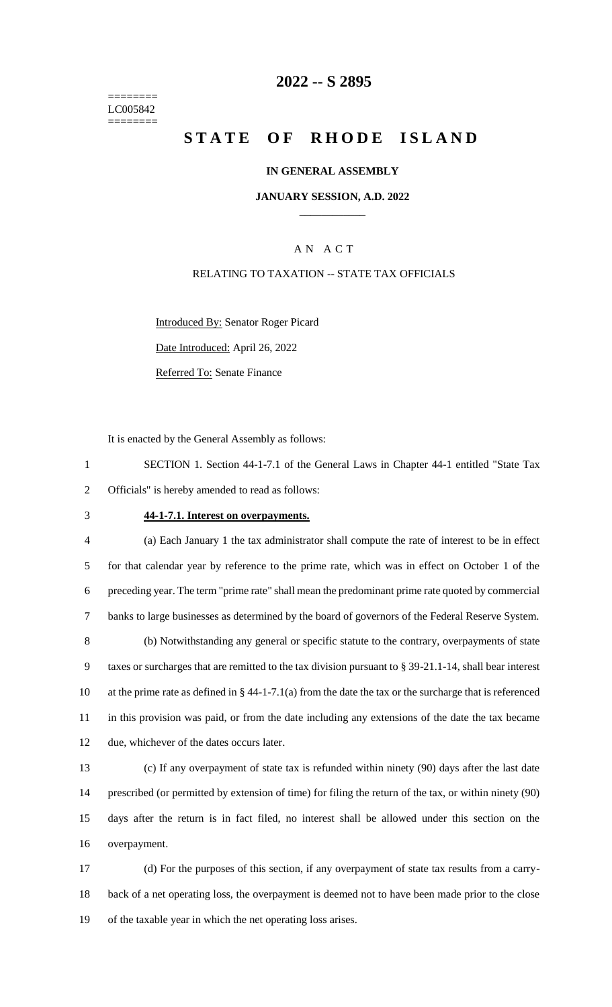======== LC005842 ========

## **-- S 2895**

# **STATE OF RHODE ISLAND**

#### **IN GENERAL ASSEMBLY**

#### **JANUARY SESSION, A.D. 2022 \_\_\_\_\_\_\_\_\_\_\_\_**

## A N A C T

#### RELATING TO TAXATION -- STATE TAX OFFICIALS

Introduced By: Senator Roger Picard

Date Introduced: April 26, 2022

Referred To: Senate Finance

It is enacted by the General Assembly as follows:

 SECTION 1. Section 44-1-7.1 of the General Laws in Chapter 44-1 entitled "State Tax Officials" is hereby amended to read as follows:

#### **44-1-7.1. Interest on overpayments.**

 (a) Each January 1 the tax administrator shall compute the rate of interest to be in effect for that calendar year by reference to the prime rate, which was in effect on October 1 of the preceding year. The term "prime rate" shall mean the predominant prime rate quoted by commercial banks to large businesses as determined by the board of governors of the Federal Reserve System. (b) Notwithstanding any general or specific statute to the contrary, overpayments of state taxes or surcharges that are remitted to the tax division pursuant to § 39-21.1-14, shall bear interest at the prime rate as defined in § 44-1-7.1(a) from the date the tax or the surcharge that is referenced in this provision was paid, or from the date including any extensions of the date the tax became due, whichever of the dates occurs later.

 (c) If any overpayment of state tax is refunded within ninety (90) days after the last date prescribed (or permitted by extension of time) for filing the return of the tax, or within ninety (90) days after the return is in fact filed, no interest shall be allowed under this section on the overpayment.

 (d) For the purposes of this section, if any overpayment of state tax results from a carry- back of a net operating loss, the overpayment is deemed not to have been made prior to the close of the taxable year in which the net operating loss arises.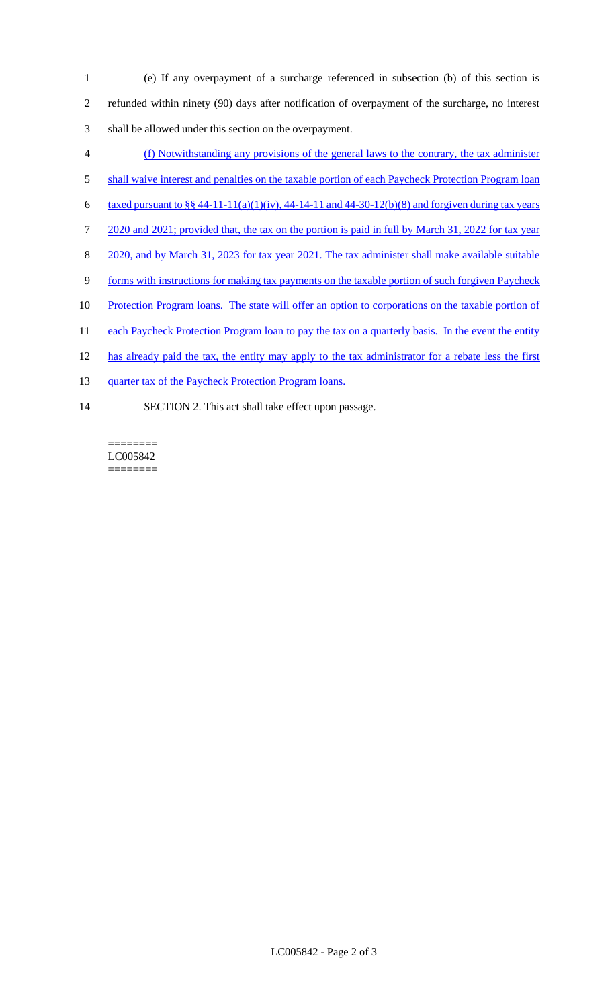- 1 (e) If any overpayment of a surcharge referenced in subsection (b) of this section is 2 refunded within ninety (90) days after notification of overpayment of the surcharge, no interest 3 shall be allowed under this section on the overpayment.
- 4 (f) Notwithstanding any provisions of the general laws to the contrary, the tax administer
- 5 shall waive interest and penalties on the taxable portion of each Paycheck Protection Program loan
- 6 taxed pursuant to  $\S § 44-11-11(a)(1)(iv)$ , 44-14-11 and 44-30-12(b)(8) and forgiven during tax years
- 7 2020 and 2021; provided that, the tax on the portion is paid in full by March 31, 2022 for tax year
- 8 2020, and by March 31, 2023 for tax year 2021. The tax administer shall make available suitable
- 9 forms with instructions for making tax payments on the taxable portion of such forgiven Paycheck
- 10 Protection Program loans. The state will offer an option to corporations on the taxable portion of
- 11 each Paycheck Protection Program loan to pay the tax on a quarterly basis. In the event the entity
- 12 has already paid the tax, the entity may apply to the tax administrator for a rebate less the first
- 13 quarter tax of the Paycheck Protection Program loans.
- 14 SECTION 2. This act shall take effect upon passage.

======== LC005842 ========